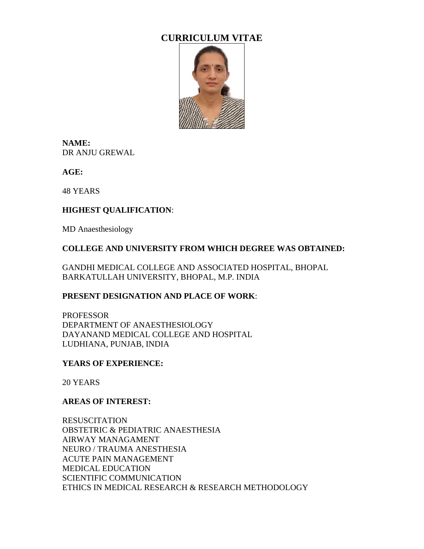# **CURRICULUM VITAE**



**NAME:** DR ANJU GREWAL

**AGE:**

48 YEARS

## **HIGHEST QUALIFICATION**:

MD Anaesthesiology

#### **COLLEGE AND UNIVERSITY FROM WHICH DEGREE WAS OBTAINED:**

GANDHI MEDICAL COLLEGE AND ASSOCIATED HOSPITAL, BHOPAL BARKATULLAH UNIVERSITY, BHOPAL, M.P. INDIA

#### **PRESENT DESIGNATION AND PLACE OF WORK**:

PROFESSOR DEPARTMENT OF ANAESTHESIOLOGY DAYANAND MEDICAL COLLEGE AND HOSPITAL LUDHIANA, PUNJAB, INDIA

#### **YEARS OF EXPERIENCE:**

20 YEARS

#### **AREAS OF INTEREST:**

RESUSCITATION OBSTETRIC & PEDIATRIC ANAESTHESIA AIRWAY MANAGAMENT NEURO / TRAUMA ANESTHESIA ACUTE PAIN MANAGEMENT MEDICAL EDUCATION SCIENTIFIC COMMUNICATION ETHICS IN MEDICAL RESEARCH & RESEARCH METHODOLOGY